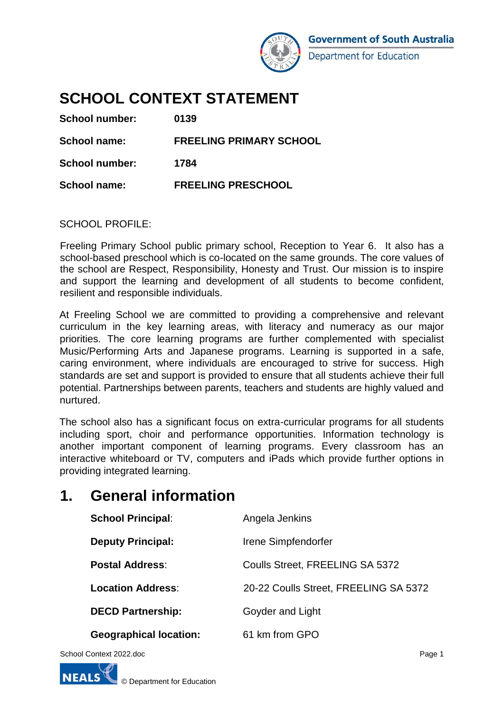

# **SCHOOL CONTEXT STATEMENT**

| School number: | 0139                           |
|----------------|--------------------------------|
| School name:   | <b>FREELING PRIMARY SCHOOL</b> |
| School number: | 1784                           |
| School name:   | <b>FREELING PRESCHOOL</b>      |

## SCHOOL PROFILE:

Freeling Primary School public primary school, Reception to Year 6. It also has a school-based preschool which is co-located on the same grounds. The core values of the school are Respect, Responsibility, Honesty and Trust. Our mission is to inspire and support the learning and development of all students to become confident, resilient and responsible individuals.

At Freeling School we are committed to providing a comprehensive and relevant curriculum in the key learning areas, with literacy and numeracy as our major priorities. The core learning programs are further complemented with specialist Music/Performing Arts and Japanese programs. Learning is supported in a safe, caring environment, where individuals are encouraged to strive for success. High standards are set and support is provided to ensure that all students achieve their full potential. Partnerships between parents, teachers and students are highly valued and nurtured.

The school also has a significant focus on extra-curricular programs for all students including sport, choir and performance opportunities. Information technology is another important component of learning programs. Every classroom has an interactive whiteboard or TV, computers and iPads which provide further options in providing integrated learning.

# **1. General information**

| <b>School Principal:</b>      | Angela Jenkins                        |
|-------------------------------|---------------------------------------|
| <b>Deputy Principal:</b>      | Irene Simpfendorfer                   |
| <b>Postal Address:</b>        | Coulls Street, FREELING SA 5372       |
| <b>Location Address:</b>      | 20-22 Coulls Street, FREELING SA 5372 |
| <b>DECD Partnership:</b>      | Goyder and Light                      |
| <b>Geographical location:</b> | 61 km from GPO                        |
|                               |                                       |

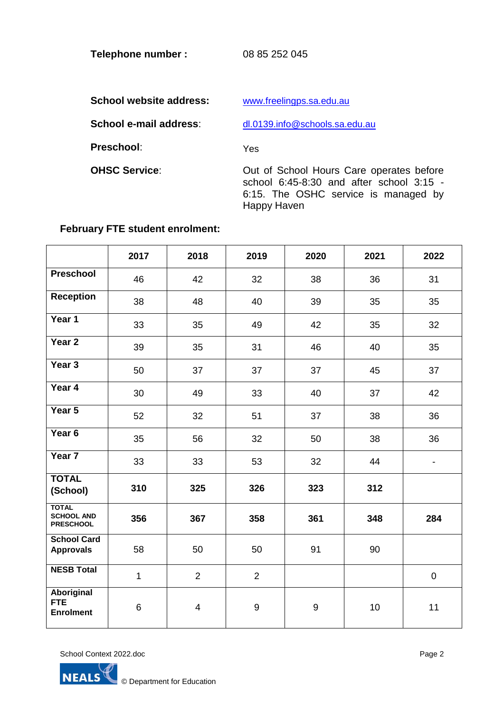**Telephone number :** 08 85 252 045

School website address: [www.freelingps.sa.edu.au](http://www.freelingps.sa.edu.au/)

**School e-mail address:** [dl.0139.info@schools.sa.edu.au](mailto:dl.0139.info@schools.sa.edu.au)

**Preschool**: Yes

**OHSC Service:** Out of School Hours Care operates before school 6:45-8:30 and after school 3:15 -6:15. The OSHC service is managed by Happy Haven

## **February FTE student enrolment:**

|                                                       | 2017         | 2018           | 2019             | 2020             | 2021 | 2022                     |
|-------------------------------------------------------|--------------|----------------|------------------|------------------|------|--------------------------|
| Preschool                                             | 46           | 42             | 32               | 38               | 36   | 31                       |
| <b>Reception</b>                                      | 38           | 48             | 40               | 39               | 35   | 35                       |
| Year 1                                                | 33           | 35             | 49               | 42               | 35   | 32                       |
| Year <sub>2</sub>                                     | 39           | 35             | 31               | 46               | 40   | 35                       |
| Year <sub>3</sub>                                     | 50           | 37             | 37               | 37               | 45   | 37                       |
| Year 4                                                | 30           | 49             | 33               | 40               | 37   | 42                       |
| Year 5                                                | 52           | 32             | 51               | 37               | 38   | 36                       |
| Year <sub>6</sub>                                     | 35           | 56             | 32               | 50               | 38   | 36                       |
| Year <sub>7</sub>                                     | 33           | 33             | 53               | 32               | 44   | $\overline{\phantom{a}}$ |
| <b>TOTAL</b><br>(School)                              | 310          | 325            | 326              | 323              | 312  |                          |
| <b>TOTAL</b><br><b>SCHOOL AND</b><br><b>PRESCHOOL</b> | 356          | 367            | 358              | 361              | 348  | 284                      |
| <b>School Card</b><br><b>Approvals</b>                | 58           | 50             | 50               | 91               | 90   |                          |
| <b>NESB Total</b>                                     | $\mathbf{1}$ | $\overline{2}$ | $\overline{2}$   |                  |      | $\pmb{0}$                |
| Aboriginal<br><b>FTE</b><br><b>Enrolment</b>          | 6            | $\overline{4}$ | $\boldsymbol{9}$ | $\boldsymbol{9}$ | 10   | 11                       |

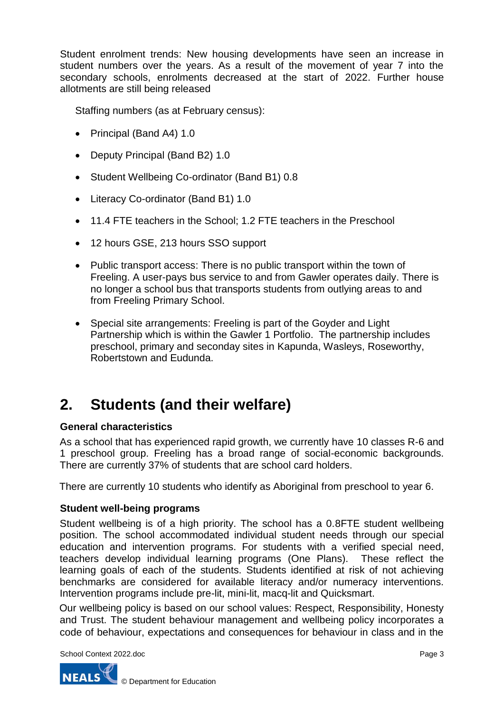Student enrolment trends: New housing developments have seen an increase in student numbers over the years. As a result of the movement of year 7 into the secondary schools, enrolments decreased at the start of 2022. Further house allotments are still being released

Staffing numbers (as at February census):

- Principal (Band A4) 1.0
- Deputy Principal (Band B2) 1.0
- Student Wellbeing Co-ordinator (Band B1) 0.8
- Literacy Co-ordinator (Band B1) 1.0
- 11.4 FTE teachers in the School; 1.2 FTE teachers in the Preschool
- 12 hours GSE, 213 hours SSO support
- Public transport access: There is no public transport within the town of Freeling. A user-pays bus service to and from Gawler operates daily. There is no longer a school bus that transports students from outlying areas to and from Freeling Primary School.
- Special site arrangements: Freeling is part of the Goyder and Light Partnership which is within the Gawler 1 Portfolio. The partnership includes preschool, primary and seconday sites in Kapunda, Wasleys, Roseworthy, Robertstown and Eudunda.

# **2. Students (and their welfare)**

# **General characteristics**

As a school that has experienced rapid growth, we currently have 10 classes R-6 and 1 preschool group. Freeling has a broad range of social-economic backgrounds. There are currently 37% of students that are school card holders.

There are currently 10 students who identify as Aboriginal from preschool to year 6.

# **Student well-being programs**

Student wellbeing is of a high priority. The school has a 0.8FTE student wellbeing position. The school accommodated individual student needs through our special education and intervention programs. For students with a verified special need, teachers develop individual learning programs (One Plans). These reflect the learning goals of each of the students. Students identified at risk of not achieving benchmarks are considered for available literacy and/or numeracy interventions. Intervention programs include pre-lit, mini-lit, macq-lit and Quicksmart.

Our wellbeing policy is based on our school values: Respect, Responsibility, Honesty and Trust. The student behaviour management and wellbeing policy incorporates a code of behaviour, expectations and consequences for behaviour in class and in the

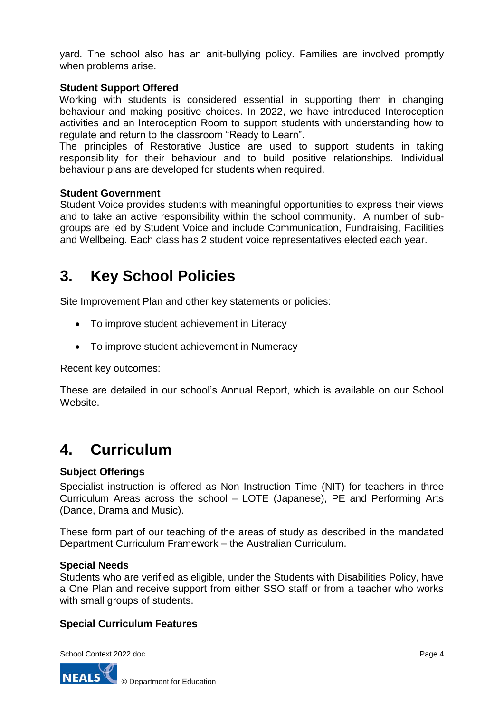yard. The school also has an anit-bullying policy. Families are involved promptly when problems arise.

## **Student Support Offered**

Working with students is considered essential in supporting them in changing behaviour and making positive choices. In 2022, we have introduced Interoception activities and an Interoception Room to support students with understanding how to regulate and return to the classroom "Ready to Learn".

The principles of Restorative Justice are used to support students in taking responsibility for their behaviour and to build positive relationships. Individual behaviour plans are developed for students when required.

## **Student Government**

Student Voice provides students with meaningful opportunities to express their views and to take an active responsibility within the school community. A number of subgroups are led by Student Voice and include Communication, Fundraising, Facilities and Wellbeing. Each class has 2 student voice representatives elected each year.

# **3. Key School Policies**

Site Improvement Plan and other key statements or policies:

- To improve student achievement in Literacy
- To improve student achievement in Numeracy

Recent key outcomes:

These are detailed in our school's Annual Report, which is available on our School Website.

# **4. Curriculum**

## **Subject Offerings**

Specialist instruction is offered as Non Instruction Time (NIT) for teachers in three Curriculum Areas across the school – LOTE (Japanese), PE and Performing Arts (Dance, Drama and Music).

These form part of our teaching of the areas of study as described in the mandated Department Curriculum Framework – the Australian Curriculum.

### **Special Needs**

Students who are verified as eligible, under the Students with Disabilities Policy, have a One Plan and receive support from either SSO staff or from a teacher who works with small groups of students.

## **Special Curriculum Features**

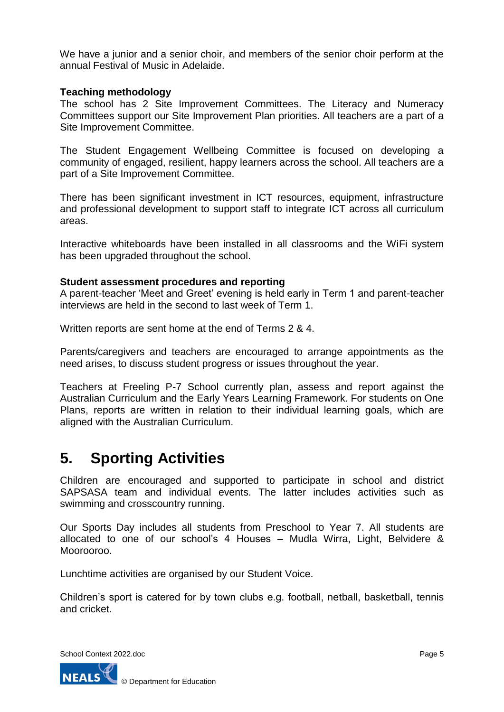We have a junior and a senior choir, and members of the senior choir perform at the annual Festival of Music in Adelaide.

### **Teaching methodology**

The school has 2 Site Improvement Committees. The Literacy and Numeracy Committees support our Site Improvement Plan priorities. All teachers are a part of a Site Improvement Committee.

The Student Engagement Wellbeing Committee is focused on developing a community of engaged, resilient, happy learners across the school. All teachers are a part of a Site Improvement Committee.

There has been significant investment in ICT resources, equipment, infrastructure and professional development to support staff to integrate ICT across all curriculum areas.

Interactive whiteboards have been installed in all classrooms and the WiFi system has been upgraded throughout the school.

### **Student assessment procedures and reporting**

A parent-teacher 'Meet and Greet' evening is held early in Term 1 and parent-teacher interviews are held in the second to last week of Term 1.

Written reports are sent home at the end of Terms 2 & 4.

Parents/caregivers and teachers are encouraged to arrange appointments as the need arises, to discuss student progress or issues throughout the year.

Teachers at Freeling P-7 School currently plan, assess and report against the Australian Curriculum and the Early Years Learning Framework. For students on One Plans, reports are written in relation to their individual learning goals, which are aligned with the Australian Curriculum.

# **5. Sporting Activities**

Children are encouraged and supported to participate in school and district SAPSASA team and individual events. The latter includes activities such as swimming and crosscountry running.

Our Sports Day includes all students from Preschool to Year 7. All students are allocated to one of our school's 4 Houses – Mudla Wirra, Light, Belvidere & Moorooroo.

Lunchtime activities are organised by our Student Voice.

Children's sport is catered for by town clubs e.g. football, netball, basketball, tennis and cricket.

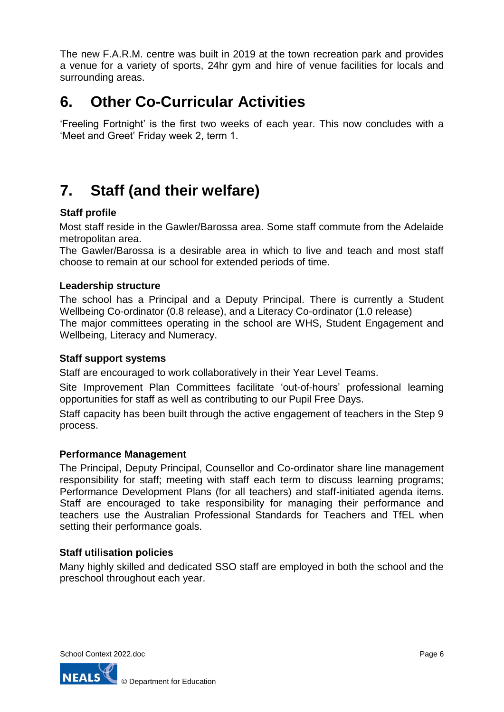The new F.A.R.M. centre was built in 2019 at the town recreation park and provides a venue for a variety of sports, 24hr gym and hire of venue facilities for locals and surrounding areas.

# **6. Other Co-Curricular Activities**

'Freeling Fortnight' is the first two weeks of each year. This now concludes with a 'Meet and Greet' Friday week 2, term 1.

# **7. Staff (and their welfare)**

# **Staff profile**

Most staff reside in the Gawler/Barossa area. Some staff commute from the Adelaide metropolitan area.

The Gawler/Barossa is a desirable area in which to live and teach and most staff choose to remain at our school for extended periods of time.

## **Leadership structure**

The school has a Principal and a Deputy Principal. There is currently a Student Wellbeing Co-ordinator (0.8 release), and a Literacy Co-ordinator (1.0 release) The major committees operating in the school are WHS, Student Engagement and Wellbeing, Literacy and Numeracy.

## **Staff support systems**

Staff are encouraged to work collaboratively in their Year Level Teams.

Site Improvement Plan Committees facilitate 'out-of-hours' professional learning opportunities for staff as well as contributing to our Pupil Free Days.

Staff capacity has been built through the active engagement of teachers in the Step 9 process.

## **Performance Management**

The Principal, Deputy Principal, Counsellor and Co-ordinator share line management responsibility for staff; meeting with staff each term to discuss learning programs; Performance Development Plans (for all teachers) and staff-initiated agenda items. Staff are encouraged to take responsibility for managing their performance and teachers use the Australian Professional Standards for Teachers and TfEL when setting their performance goals.

## **Staff utilisation policies**

Many highly skilled and dedicated SSO staff are employed in both the school and the preschool throughout each year.

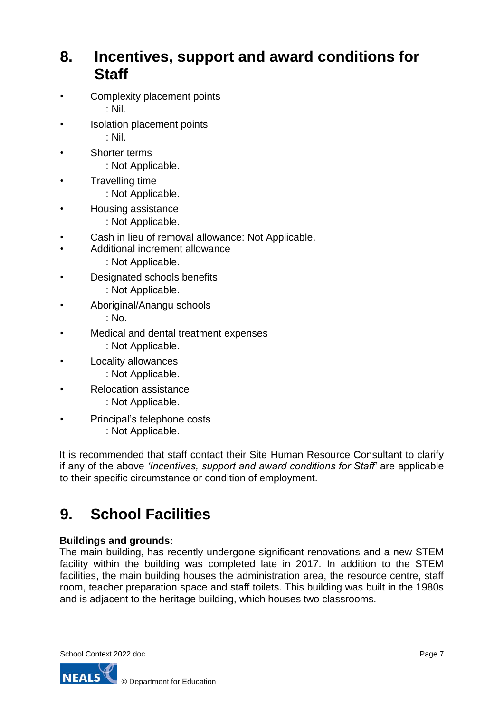# **8. Incentives, support and award conditions for Staff**

- Complexity placement points : Nil.
- Isolation placement points : Nil.
- Shorter terms
	- : Not Applicable.
- Travelling time
	- : Not Applicable.
- Housing assistance
	- : Not Applicable.
- Cash in lieu of removal allowance: Not Applicable.
	- Additional increment allowance
		- : Not Applicable.
- Designated schools benefits
	- : Not Applicable.
- Aboriginal/Anangu schools
	- : No.
- Medical and dental treatment expenses
	- : Not Applicable.
- Locality allowances
	- : Not Applicable.
- Relocation assistance
	- : Not Applicable.
- Principal's telephone costs : Not Applicable.

It is recommended that staff contact their Site Human Resource Consultant to clarify if any of the above *'Incentives, support and award conditions for Staff'* are applicable to their specific circumstance or condition of employment.

# **9. School Facilities**

# **Buildings and grounds:**

The main building, has recently undergone significant renovations and a new STEM facility within the building was completed late in 2017. In addition to the STEM facilities, the main building houses the administration area, the resource centre, staff room, teacher preparation space and staff toilets. This building was built in the 1980s and is adjacent to the heritage building, which houses two classrooms.

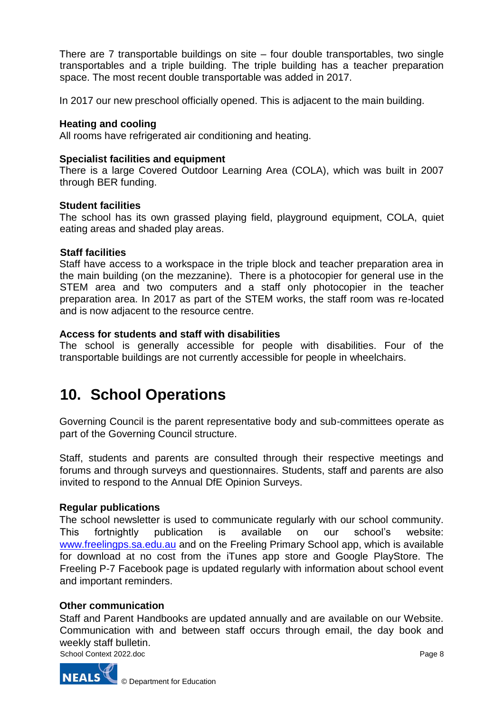There are 7 transportable buildings on site – four double transportables, two single transportables and a triple building. The triple building has a teacher preparation space. The most recent double transportable was added in 2017.

In 2017 our new preschool officially opened. This is adjacent to the main building.

### **Heating and cooling**

All rooms have refrigerated air conditioning and heating.

### **Specialist facilities and equipment**

There is a large Covered Outdoor Learning Area (COLA), which was built in 2007 through BER funding.

### **Student facilities**

The school has its own grassed playing field, playground equipment, COLA, quiet eating areas and shaded play areas.

### **Staff facilities**

Staff have access to a workspace in the triple block and teacher preparation area in the main building (on the mezzanine). There is a photocopier for general use in the STEM area and two computers and a staff only photocopier in the teacher preparation area. In 2017 as part of the STEM works, the staff room was re-located and is now adjacent to the resource centre.

### **Access for students and staff with disabilities**

The school is generally accessible for people with disabilities. Four of the transportable buildings are not currently accessible for people in wheelchairs.

# **10. School Operations**

Governing Council is the parent representative body and sub-committees operate as part of the Governing Council structure.

Staff, students and parents are consulted through their respective meetings and forums and through surveys and questionnaires. Students, staff and parents are also invited to respond to the Annual DfE Opinion Surveys.

## **Regular publications**

The school newsletter is used to communicate regularly with our school community. This fortnightly publication is available on our school's website: [www.freelingps.sa.edu.au](http://www.freelingps.sa.edu.au/) [a](http://www.freelingps.sa.edu.au/)nd on the Freeling Primary School app, which is available for download at no cost from the iTunes app store and Google PlayStore. The Freeling P-7 Facebook page is updated regularly with information about school event and important reminders.

## **Other communication**

Staff and Parent Handbooks are updated annually and are available on our Website. Communication with and between staff occurs through email, the day book and weekly staff bulletin.